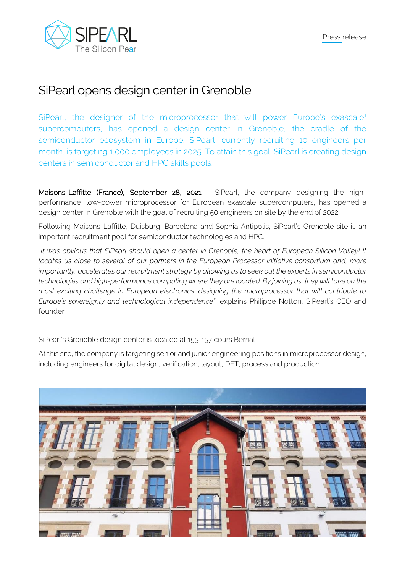

## SiPearl opens design center in Grenoble

SiPearl, the designer of the microprocessor that will power Europe's exascale<sup>1</sup> supercomputers, has opened a design center in Grenoble, the cradle of the semiconductor ecosystem in Europe. SiPearl, currently recruiting 10 engineers per month, is targeting 1,000 employees in 2025. To attain this goal, SiPearl is creating design centers in semiconductor and HPC skills pools.

Maisons-Laffitte (France), September 28, 2021 - SiPearl, the company designing the highperformance, low-power microprocessor for European exascale supercomputers, has opened a design center in Grenoble with the goal of recruiting 50 engineers on site by the end of 2022.

Following Maisons-Laffitte, Duisburg, Barcelona and Sophia Antipolis, SiPearl's Grenoble site is an important recruitment pool for semiconductor technologies and HPC.

"*It was obvious that SiPearl should open a center in Grenoble, the heart of European Silicon Valley! It locates us close to several of our partners in the European Processor Initiative consortium and, more importantly, accelerates our recruitment strategy by allowing us to seek out the experts in semiconductor technologies and high-performance computing where they are located. By joining us, they will take on the most exciting challenge in European electronics: designing the microprocessor that will contribute to Europe's sovereignty and technological independence"*, explains Philippe Notton, SiPearl's CEO and founder.

SiPearl's Grenoble design center is located at 155-157 cours Berriat.

At this site, the company is targeting senior and junior engineering positions in microprocessor design, including engineers for digital design, verification, layout, DFT, process and production.